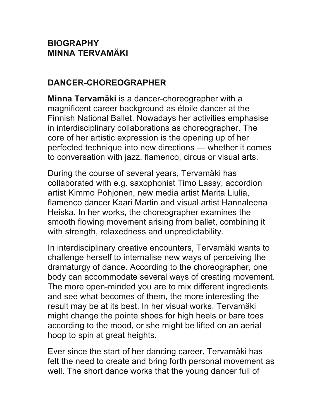#### **BIOGRAPHY MINNA TERVAMÄKI**

### **DANCER-CHOREOGRAPHER**

**Minna Tervamäki** is a dancer-choreographer with a magnificent career background as étoile dancer at the Finnish National Ballet. Nowadays her activities emphasise in interdisciplinary collaborations as choreographer. The core of her artistic expression is the opening up of her perfected technique into new directions — whether it comes to conversation with jazz, flamenco, circus or visual arts.

During the course of several years, Tervamäki has collaborated with e.g. saxophonist Timo Lassy, accordion artist Kimmo Pohjonen, new media artist Marita Liulia, flamenco dancer Kaari Martin and visual artist Hannaleena Heiska. In her works, the choreographer examines the smooth flowing movement arising from ballet, combining it with strength, relaxedness and unpredictability.

In interdisciplinary creative encounters, Tervamäki wants to challenge herself to internalise new ways of perceiving the dramaturgy of dance. According to the choreographer, one body can accommodate several ways of creating movement. The more open-minded you are to mix different ingredients and see what becomes of them, the more interesting the result may be at its best. In her visual works, Tervamäki might change the pointe shoes for high heels or bare toes according to the mood, or she might be lifted on an aerial hoop to spin at great heights.

Ever since the start of her dancing career, Tervamäki has felt the need to create and bring forth personal movement as well. The short dance works that the young dancer full of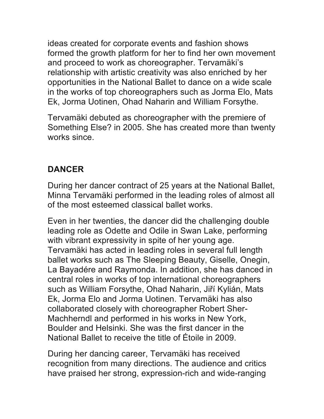ideas created for corporate events and fashion shows formed the growth platform for her to find her own movement and proceed to work as choreographer. Tervamäki's relationship with artistic creativity was also enriched by her opportunities in the National Ballet to dance on a wide scale in the works of top choreographers such as Jorma Elo, Mats Ek, Jorma Uotinen, Ohad Naharin and William Forsythe.

Tervamäki debuted as choreographer with the premiere of Something Else? in 2005. She has created more than twenty works since.

### **DANCER**

During her dancer contract of 25 years at the National Ballet, Minna Tervamäki performed in the leading roles of almost all of the most esteemed classical ballet works.

Even in her twenties, the dancer did the challenging double leading role as Odette and Odile in Swan Lake, performing with vibrant expressivity in spite of her young age. Tervamäki has acted in leading roles in several full length ballet works such as The Sleeping Beauty, Giselle, Onegin, La Bayadére and Raymonda. In addition, she has danced in central roles in works of top international choreographers such as William Forsythe, Ohad Naharin, Jiří Kylián, Mats Ek, Jorma Elo and Jorma Uotinen. Tervamäki has also collaborated closely with choreographer Robert Sher-Machherndl and performed in his works in New York, Boulder and Helsinki. She was the first dancer in the National Ballet to receive the title of Étoile in 2009.

During her dancing career, Tervamäki has received recognition from many directions. The audience and critics have praised her strong, expression-rich and wide-ranging